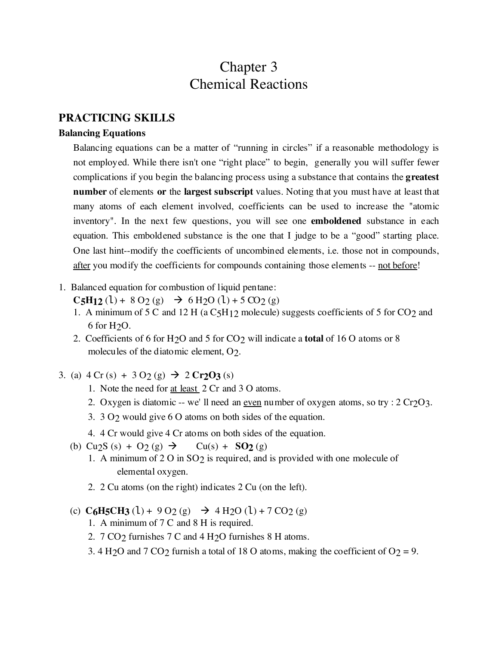# Chapter 3 Chemical Reactions

## **PRACTICING SKILLS**

#### **Balancing Equations**

Balancing equations can be a matter of "running in circles" if a reasonable methodology is not employed. While there isn't one "right place" to begin, generally you will suffer fewer complications if you begin the balancing process using a substance that contains the **greatest number** of elements **or** the **largest subscript** values. Noting that you must have at least that many atoms of each element involved, coefficients can be used to increase the "atomic inventory". In the next few questions, you will see one **emboldened** substance in each equation. This emboldened substance is the one that I judge to be a "good" starting place. One last hint--modify the coefficients of uncombined elements, i.e. those not in compounds, after you modify the coefficients for compounds containing those elements -- not before!

1. Balanced equation for combustion of liquid pentane:

 $C_5H_12$  (l) + 8 O<sub>2</sub> (g)  $\rightarrow$  6 H<sub>2</sub>O (l) + 5 CO<sub>2</sub> (g)

- 1. A minimum of 5 C and 12 H (a C5H12 molecule) suggests coefficients of 5 for CO2 and 6 for H2O.
- 2. Coefficients of 6 for H2O and 5 for CO2 will indicate a **total** of 16 O atoms or 8 molecules of the diatomic element, O2.
- 3. (a)  $4 Cr(s) + 3 O_2(g) \rightarrow 2 Cr_2O_3(s)$ 
	- 1. Note the need for at least 2 Cr and 3 O atoms.
	- 2. Oxygen is diatomic -- we' ll need an <u>even</u> number of oxygen atoms, so try :  $2 Cr_2O_3$ .
	- 3. 3 O2 would give 6 O atoms on both sides of the equation.
	- 4. 4 Cr would give 4 Cr atoms on both sides of the equation.
	- (b)  $Cu_2S(s) + O_2(g) \rightarrow Cu(s) + SO_2(g)$ 
		- 1. A minimum of 2 O in SO2 is required, and is provided with one molecule of elemental oxygen.
		- 2. 2 Cu atoms (on the right) indicates 2 Cu (on the left).
	- (c)  $C_6H_5CH_3(l) + 9O_2(g) \rightarrow 4H_2O(l) + 7CO_2(g)$ 
		- 1. A minimum of 7 C and 8 H is required.
		- 2. 7 CO<sub>2</sub> furnishes 7 C and 4 H<sub>2</sub>O furnishes 8 H atoms.
		- 3. 4 H<sub>2</sub>O and 7 CO<sub>2</sub> furnish a total of 18 O atoms, making the coefficient of O<sub>2</sub> = 9.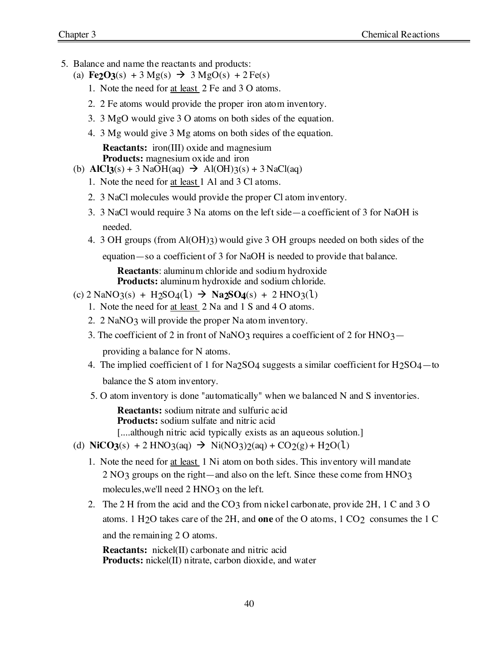- 5. Balance and name the reactants and products:
	- (a) **Fe2O3**(s) + 3 Mg(s)  $\rightarrow$  3 MgO(s) + 2 Fe(s)
		- 1. Note the need for at least 2 Fe and 3 O atoms.
		- 2. 2 Fe atoms would provide the proper iron atom inventory.
		- 3. 3 MgO would give 3 O atoms on both sides of the equation.
		- 4. 3 Mg would give 3 Mg atoms on both sides of the equation.

**Reactants:** iron(III) oxide and magnesium **Products:** magnesium oxide and iron

- (b)  $\text{AICI3}(s) + 3 \text{NaOH}(aq) \rightarrow \text{Al(OH)}3(s) + 3 \text{NaCl}(aq)$ 
	- 1. Note the need for at least 1 Al and 3 Cl atoms.
	- 2. 3 NaCl molecules would provide the proper Cl atom inventory.
	- 3. 3 NaCl would require 3 Na atoms on the left side—a coefficient of 3 for NaOH is needed.
	- 4. 3 OH groups (from Al(OH)3) would give 3 OH groups needed on both sides of the

equation—so a coefficient of 3 for NaOH is needed to provide that balance.

**Reactants**: aluminum chloride and sodium hydroxide **Products:** aluminum hydroxide and sodium chloride.

- $\text{(c) } 2 \text{ NaNO}_3\text{(s)} + \text{H}_2\text{SO}_4\text{(l)} \rightarrow \text{Na}_2\text{SO}_4\text{(s)} + 2 \text{ HNO}_3\text{(l)}$ 
	- 1. Note the need for at least 2 Na and 1 S and 4 O atoms.
	- 2. 2 NaNO3 will provide the proper Na atom inventory.
	- 3. The coefficient of 2 in front of NaNO3 requires a coefficient of 2 for HNO3—

providing a balance for N atoms.

- 4. The implied coefficient of 1 for Na2SO4 suggests a similar coefficient for H2SO4—to balance the S atom inventory.
- 5. O atom inventory is done "automatically" when we balanced N and S inventories.

**Reactants:** sodium nitrate and sulfuric acid **Products:** sodium sulfate and nitric acid

[....although nitric acid typically exists as an aqueous solution.]

- (d)  $\text{NiCO3}(s) + 2 \text{ HNO3}(aq) \rightarrow \text{Ni(NO3)}2(aq) + \text{CO2}(g) + \text{H2O}(l)$ 
	- 1. Note the need for at least 1 Ni atom on both sides. This inventory will mandate 2 NO3 groups on the right—and also on the left. Since these come from HNO3 molecules, we'll need 2 HNO3 on the left.
	- 2. The 2 H from the acid and the CO3 from nickel carbonate, provide 2H, 1 C and 3 O atoms. 1 H2O takes care of the 2H, and **one** of the O atoms, 1 CO2 consumes the 1 C and the remaining 2 O atoms.

**Reactants:** nickel(II) carbonate and nitric acid **Products:** nickel(II) nitrate, carbon dioxide, and water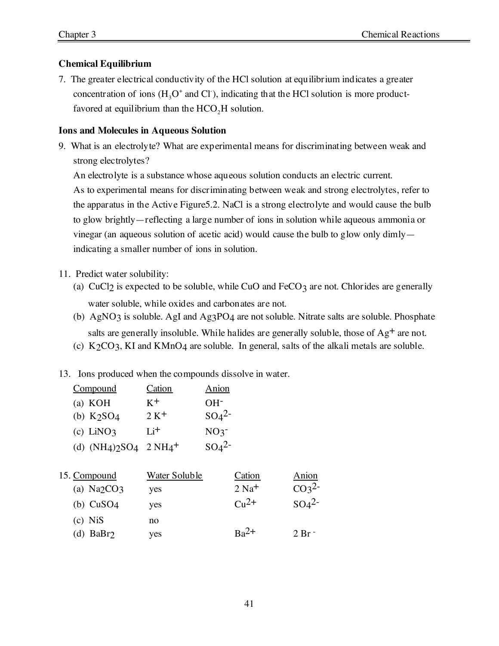# **Chemical Equilibrium**

7. The greater electrical conductivity of the HCl solution at equilibrium indicates a greater concentration of ions  $(H_3O^+)$  and  $Cl^-$ ), indicating that the HCl solution is more productfavored at equilibrium than the  $HCO<sub>2</sub>H$  solution.

## **Ions and Molecules in Aqueous Solution**

9. What is an electrolyte? What are experimental means for discriminating between weak and strong electrolytes?

An electrolyte is a substance whose aqueous solution conducts an electric current.

As to experimental means for discriminating between weak and strong electrolytes, refer to the apparatus in the Active Figure5.2. NaCl is a strong electrolyte and would cause the bulb to glow brightly—reflecting a large number of ions in solution while aqueous ammonia or vinegar (an aqueous solution of acetic acid) would cause the bulb to glow only dimly indicating a smaller number of ions in solution.

# 11. Predict water solubility:

- (a) CuCl<sub>2</sub> is expected to be soluble, while CuO and FeCO<sub>3</sub> are not. Chlorides are generally water soluble, while oxides and carbonates are not.
- (b) AgNO3 is soluble. AgI and Ag3PO4 are not soluble. Nitrate salts are soluble. Phosphate salts are generally insoluble. While halides are generally soluble, those of  $Ag<sup>+</sup>$  are not.
- (c)  $K_2CO_3$ , KI and KMnO4 are soluble. In general, salts of the alkali metals are soluble.
- 13. Ions produced when the compounds dissolve in water.

| <u>Compound</u>                      | Cation | Anion                        |
|--------------------------------------|--------|------------------------------|
| (a) KOH                              | $K^+$  | $OH-$                        |
| (b) $K2SO4$                          | $2 K+$ | SO <sub>4</sub> <sup>2</sup> |
| $(c)$ LiNO3                          | $Li^+$ | NO <sub>3</sub>              |
| (d) $(NH4)2SO4$ 2 $NH4$ <sup>+</sup> |        | SO <sub>4</sub> <sup>2</sup> |
|                                      |        |                              |

| 15. Compound | Water Soluble | Cation              | Anion             |
|--------------|---------------|---------------------|-------------------|
| (a) $Na2CO3$ | yes           | $2$ Na <sup>+</sup> | CO <sub>3</sub> 2 |
| (b) $CuSO4$  | ves           | $C_{11}2+$          | $SO42-$           |
| $(c)$ Nis    | no            |                     |                   |
| (d) $BaBr2$  | ves           | $Ba^{2+}$           | $2 Br -$          |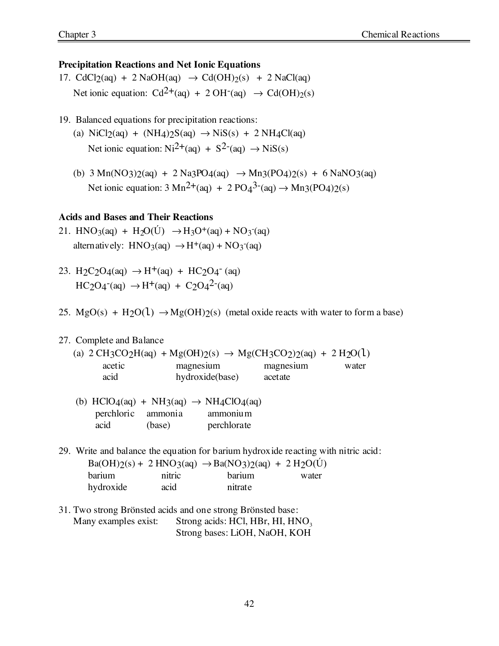### **Precipitation Reactions and Net Ionic Equations**

- 17. CdCl<sub>2</sub>(aq) + 2 NaOH(aq)  $\rightarrow$  Cd(OH)<sub>2</sub>(s) + 2 NaCl(aq) Net ionic equation:  $Cd^{2+}(aq) + 2OH^{-}(aq) \rightarrow Cd(OH)/(s)$
- 19. Balanced equations for precipitation reactions:
	- (a)  $\text{NiCl}_2(\text{aq}) + (\text{NH}_4) \cdot 2\text{Si}(\text{aq}) \rightarrow \text{NiS}(\text{s}) + 2 \text{NH}_4\text{Cl}(\text{aq})$ Net ionic equation:  $Ni^{2+}(aq) + S^{2-}(aq) \rightarrow NiS(s)$
	- (b)  $3 \text{ Mn}(NO_3)2(aq) + 2 \text{ Na}_3PO4(aq) \rightarrow \text{Mn}_3(PO_4)2(s) + 6 \text{ Na}NO_3(aq)$ Net ionic equation:  $3 \text{ Mn}^2$ +(aq) + 2 PO<sub>4</sub><sup>3-</sup>(aq)  $\rightarrow$  Mn<sub>3</sub>(PO<sub>4</sub>)<sub>2</sub>(s)

## **Acids and Bases and Their Reactions**

- 21. HNO<sub>3</sub>(aq) + H<sub>2</sub>O(U)  $\rightarrow$  H<sub>3</sub>O<sup>+</sup>(aq) + NO<sub>3</sub><sup>-</sup>(aq) alternatively:  $HNO<sub>3</sub>(aq) \rightarrow H<sup>+</sup>(aq) + NO<sub>3</sub>(aq)$
- 23. H<sub>2</sub>C<sub>2</sub>O<sub>4</sub>(aq)  $\rightarrow$  H<sup>+</sup>(aq) + HC<sub>2</sub>O<sub>4</sub><sup>-</sup>(aq)  $HC_2O_4$ <sup>-</sup>(aq)  $\rightarrow$  H<sup>+</sup>(aq) + C<sub>2</sub>O<sub>4</sub><sup>2</sup><sup>-</sup>(aq)
- 25.  $MgO(s) + H_2O(1) \rightarrow Mg(OH)2(s)$  (metal oxide reacts with water to form a base)

### 27. Complete and Balance

|                     |                 | (a) $2 \text{CH}_3\text{CO}_2\text{H}(aq) + \text{Mg}(\text{OH})_2\text{(s)} \rightarrow \text{Mg}(\text{CH}_3\text{CO}_2)\text{O}(aq) + 2 \text{H}_2\text{O}(1)$ |       |
|---------------------|-----------------|-------------------------------------------------------------------------------------------------------------------------------------------------------------------|-------|
| acet <sub>1</sub> c | magnesium       | magnesium                                                                                                                                                         | water |
| acid                | hydroxide(base) | acetate                                                                                                                                                           |       |

|      |        | (b) HClO4(aq) + NH <sub>3</sub> (aq) $\rightarrow$ NH <sub>4</sub> ClO4(aq) |
|------|--------|-----------------------------------------------------------------------------|
|      |        | perchloric ammonia ammonium                                                 |
| acid | (base) | perchlorate                                                                 |

29. Write and balance the equation for barium hydroxide reacting with nitric acid:

|           |        | $Ba(OH)2(s) + 2 HNO3(aq) \rightarrow BaNO3)2(aq) + 2 H2O(U)$ |       |
|-----------|--------|--------------------------------------------------------------|-------|
| barium    | nitric | <b>barium</b>                                                | water |
| hydroxide | acid   | nitrate                                                      |       |

31. Two strong Brönsted acids and one strong Brönsted base: Many examples exist: Strong acids: HCl, HBr, HI,  $HNO<sub>3</sub>$ Strong bases: LiOH, NaOH, KOH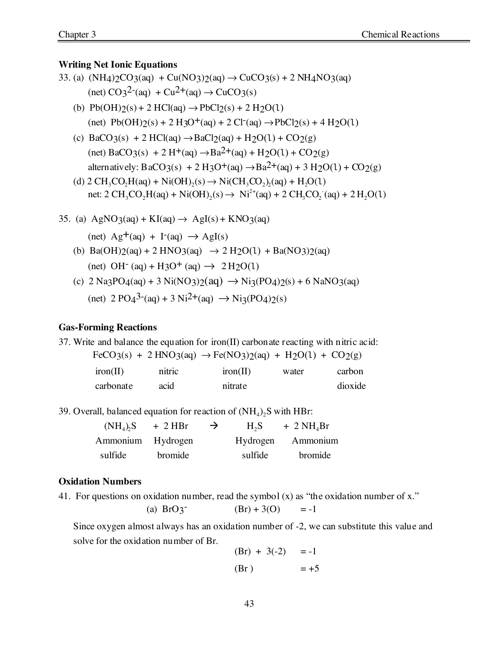#### **Writing Net Ionic Equations**

- 33. (a)  $(NH4)2CO3(aq) + Cu(NO3)2(aq) \rightarrow CuCO3(s) + 2 NH4NO3(aq)$ (net)  $CO_3^2$ <sup>-</sup>(aq) +  $Cu^{2+}(aq)$   $\rightarrow$   $CuCO_3(s)$ 
	- (b)  $Pb(OH)2(s) + 2 HCl(aq) \rightarrow PbCl2(s) + 2 H2O(1)$  $(\text{net}) \ \text{Pb(OH)}(s) + 2 \ \text{H} (3O^+(aq)) + 2 \ \text{Cl}^-(aq) \rightarrow \text{PbCl}(s) + 4 \ \text{H} (2O(1))$
	- (c)  $BaCO_3(s) + 2 HCl(aq) \rightarrow BaCl_2(aq) + H_2O(1) + CO_2(g)$  $(\text{net}) \text{ BaCO}_3(\text{s}) + 2 \text{ H}^+(\text{aq}) \rightarrow \text{Ba}^2(\text{aq}) + \text{H}_2\text{O}(1) + \text{CO}_2(\text{g})$ alternatively: BaCO3(s) + 2 H3O<sup>+</sup>(aq)  $\rightarrow$  Ba<sup>2+</sup>(aq) + 3 H<sub>2</sub>O(1) + CO<sub>2</sub>(g)
	- (d)  $2 \text{ CH}_3\text{CO}_2\text{H}(aq) + \text{Ni(OH)}_2(s) \rightarrow \text{Ni(CH}_3\text{CO}_2)(aq) + \text{H}_2\text{O}(1)$ net:  $2 \text{ CH}_3\text{CO}_2\text{H}(aq) + \text{Ni(OH)}_2(s) \rightarrow \text{Ni}^{2+}(aq) + 2 \text{ CH}_3\text{CO}_2^-(aq) + 2 \text{H}_2\text{O}(1)$
- 35. (a)  $AgNO_3(aq) + KI(aq) \rightarrow AgI(s) + KNO_3(aq)$ 
	- $(\text{net}) \text{Ag}^+(aq) + \text{I}^-(aq) \rightarrow \text{AgI}(s)$
	- (b)  $Ba(OH)2(aq) + 2 HNO3(aq) \rightarrow 2 H2O(1) + BaNO3)2(aq)$  $(\text{net}) \text{OH}^-(\text{aq}) + H_3O^+(\text{aq}) \rightarrow 2H_2O(1)$
	- (c)  $2 \text{ Na}_3\text{PO}_4(aq) + 3 \text{Ni}(\text{NO}_3)2(aq) \rightarrow \text{Ni}_3(\text{PO}_4)2(s) + 6 \text{ Na}(\text{NO}_3(aq))$  $(\text{net})$  2 PO<sub>4</sub><sup>3-</sup>(aq) + 3 Ni<sup>2+</sup>(aq)  $\rightarrow$  Ni<sub>3</sub>(PO<sub>4</sub>)<sub>2</sub>(s)

#### **Gas-Forming Reactions**

37. Write and balance the equation for iron(II) carbonate reacting with nitric acid:

| $FeCO3(s) + 2 HNO3(aq) \rightarrow Fe(NO3)2(aq) + H2O(1) + CO2(g)$ |  |  |  |
|--------------------------------------------------------------------|--|--|--|
|--------------------------------------------------------------------|--|--|--|

| iron(II)  | nitric | iron(II) | water | carbon  |
|-----------|--------|----------|-------|---------|
| carbonate | acid   | nitrate  |       | dioxide |

39. Overall, balanced equation for reaction of  $(NH_4)$ , S with HBr:

| $(NH_4)$ , S      | $+2$ HBr       | $\rightarrow$ | $H_2S$   | $+ 2 NH4Br$    |
|-------------------|----------------|---------------|----------|----------------|
| Ammonium Hydrogen |                |               | Hydrogen | Ammonium       |
| sulfide           | <b>bromide</b> |               | sulfide  | <b>bromide</b> |

#### **Oxidation Numbers**

41. For questions on oxidation number, read the symbol  $(x)$  as "the oxidation number of x."

(a) 
$$
BrO3^{-}
$$
 (Br) + 3(O) = -1

Since oxygen almost always has an oxidation number of -2, we can substitute this value and solve for the oxidation number of Br.

$$
(Br) + 3(-2) = -1
$$
  
(Br) = +5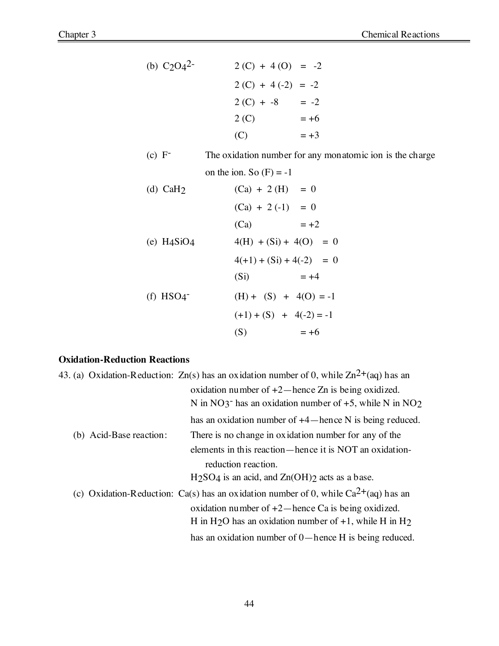(b) C2O42- 2 (C) + 4 (O) = -2 2 (C) + 4 (-2) = -2 2 (C) + -8 = -2 2 (C) = +6 (C) = +3

- (c) F- The oxidation number for any monatomic ion is the charge on the ion. So  $(F) = -1$
- (d) CaH<sub>2</sub> (Ca) + 2 (H) = 0  $(Ca) + 2(-1) = 0$  $(Ca) = +2$ (e)  $H4SiO4$   $4(H) + (Si) + 4(O) = 0$  $4(+1) + (Si) + 4(-2) = 0$ (Si)  $= +4$ (f) HSO4<sup>-</sup> (H) + (S) + 4(O) = -1  $(+1) + (S) + 4(-2) = -1$ (S)  $= +6$

## **Oxidation-Reduction Reactions**

|                         | 43. (a) Oxidation-Reduction: $Zn(s)$ has an oxidation number of 0, while $Zn^{2+}(aq)$ has an |
|-------------------------|-----------------------------------------------------------------------------------------------|
|                         | oxidation number of $+2$ —hence Zn is being oxidized.                                         |
|                         | N in NO3 <sup>-</sup> has an oxidation number of $+5$ , while N in NO <sub>2</sub>            |
|                         | has an oxidation number of $+4$ —hence N is being reduced.                                    |
| (b) Acid-Base reaction: | There is no change in oxidation number for any of the                                         |
|                         | elements in this reaction—hence it is NOT an oxidation-                                       |
|                         | reduction reaction.                                                                           |
|                         | $H2SO4$ is an acid, and $Zn(OH)2$ acts as a base.                                             |
|                         | (c) Oxidation-Reduction: Ca(s) has an oxidation number of 0, while $Ca^{2+}(aq)$ has an       |
|                         | oxidation number of $+2$ —hence Ca is being oxidized.                                         |
|                         | H in H <sub>2</sub> O has an oxidation number of $+1$ , while H in H <sub>2</sub>             |
|                         | has an oxidation number of $0$ —hence H is being reduced.                                     |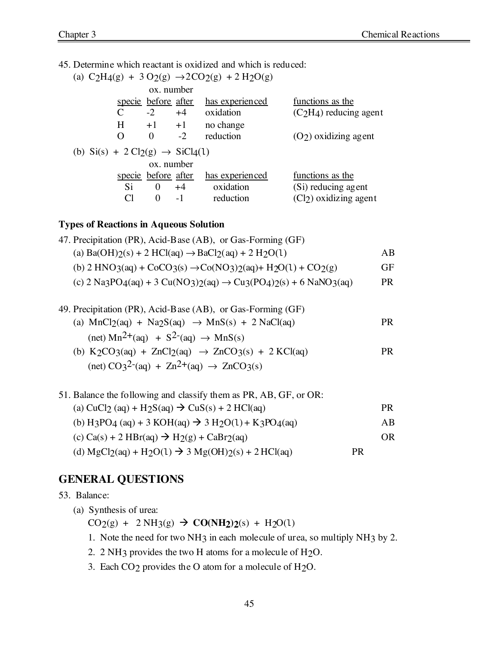45. Determine which reactant is oxidized and which is reduced:

|                                                                    |                            |      | (a) C <sub>2</sub> H <sub>4</sub> (g) + 3 O <sub>2</sub> (g) $\rightarrow$ 2CO <sub>2</sub> (g) + 2 H <sub>2</sub> O(g) |                         |
|--------------------------------------------------------------------|----------------------------|------|-------------------------------------------------------------------------------------------------------------------------|-------------------------|
|                                                                    | ox. number                 |      |                                                                                                                         |                         |
|                                                                    | specie before after        |      | has experienced                                                                                                         | functions as the        |
| C                                                                  | $-2$                       | $+4$ | oxidation                                                                                                               | $(C2H4)$ reducing agent |
| H                                                                  | $+1$ $+1$                  |      | no change                                                                                                               |                         |
| O                                                                  | $\Omega$                   | $-2$ | reduction                                                                                                               | $(O2)$ oxidizing agent  |
| (b) $\text{Si}(s) + 2 \text{Cl}_2(g) \rightarrow \text{SiCl}_4(1)$ |                            |      |                                                                                                                         |                         |
|                                                                    | ox. number                 |      |                                                                                                                         |                         |
|                                                                    | <u>specie</u> before after |      | has experienced                                                                                                         | functions as the        |
| S <sub>i</sub>                                                     | 0                          | $+4$ | oxidation                                                                                                               | (Si) reducing agent     |
|                                                                    | 0                          | $-1$ | reduction                                                                                                               | $(Cl2)$ oxidizing agent |
|                                                                    |                            |      |                                                                                                                         |                         |

## **Types of Reactions in Aqueous Solution**

| 47. Precipitation (PR), Acid-Base (AB), or Gas-Forming (GF)                                                                                                      |     |
|------------------------------------------------------------------------------------------------------------------------------------------------------------------|-----|
| (a) $Ba(OH)2(s) + 2 HCl(aq) \rightarrow BaCl2(aq) + 2 H2O(1)$                                                                                                    | ΑB  |
| (b) $2 \text{ HNO}_3(\text{aq}) + \text{CoCO}_3(\text{s}) \rightarrow \text{Co}(\text{NO}_3) \cdot 2(\text{aq}) + \text{H}_2\text{O}(1) + \text{CO}_2(\text{g})$ | GF  |
| (c) $2 \text{ Na}_3\text{PO}_4(aq) + 3 \text{Cu}(\text{NO}_3)2(aq) \rightarrow \text{Cu}_3(\text{PO}_4)2(s) + 6 \text{ Na}(\text{NO}_3(aq))$                     | PR. |
|                                                                                                                                                                  |     |

| 49. Precipitation (PR), Acid-Base (AB), or Gas-Forming (GF)                                    |     |
|------------------------------------------------------------------------------------------------|-----|
| (a) $MnCl_2(aq) + Na_2S(aq) \rightarrow MnS(s) + 2 NaCl(aq)$                                   | PR. |
| $(\text{net}) \text{ Mn}^{2+}(\text{aq}) + \text{S}^{2-}(\text{aq}) \rightarrow \text{MnS(s)}$ |     |
|                                                                                                |     |

(b)  $K_2CO_3(aq) + ZnCl_2(aq) \rightarrow ZnCO_3(s) + 2 KCl(aq)$  PR (net)  $CO_3^2$ <sup>-</sup>(aq) +  $Zn^2$ <sup>+</sup>(aq)  $\rightarrow$   $ZnCO_3(s)$ 

| 51. Balance the following and classify them as PR, AB, GF, or OR:                  |           |     |
|------------------------------------------------------------------------------------|-----------|-----|
| (a) CuCl <sub>2</sub> (aq) + H <sub>2</sub> S(aq) $\rightarrow$ CuS(s) + 2 HCl(aq) |           | PR. |
| (b) H3PO4 (aq) + 3 KOH(aq) $\rightarrow$ 3 H <sub>2</sub> O(1) + K3PO4(aq)         |           | AB  |
| (c) $Ca(s) + 2 HBr(aq) \rightarrow H_2(g) + CaBr_2(aq)$                            |           | OR. |
| (d) $MgCl_2(aq) + H_2O(1) \rightarrow 3 Mg(OH)_2(s) + 2 HCl(aq)$                   | <b>PR</b> |     |

# **GENERAL QUESTIONS**

53. Balance:

(a) Synthesis of urea:

 $CO_2(g) + 2 NH_3(g) \rightarrow CO(NH_2)2(s) + H_2O(1)$ 

- 1. Note the need for two NH3 in each molecule of urea, so multiply NH3 by 2.
- 2. 2 NH3 provides the two H atoms for a molecule of H2O.
- 3. Each CO2 provides the O atom for a molecule of H2O.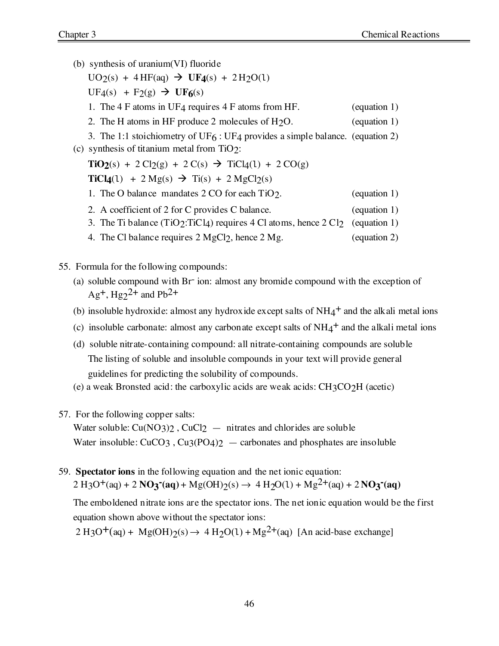(b) synthesis of uranium(VI) fluoride  $UO_2(s) + 4HF(aq) \rightarrow UF_4(s) + 2H_2O(1)$  $UF4(s) + F2(g) \rightarrow UF6(s)$ 1. The 4 F atoms in UF4 requires 4 F atoms from HF. (equation 1) 2. The H atoms in HF produce 2 molecules of H<sub>2</sub>O. (equation 1) 3. The 1:1 stoichiometry of  $UF_6:UF_4$  provides a simple balance. (equation 2) (c) synthesis of titanium metal from TiO2:  $\text{TiO2}(s) + 2 \text{Cl2}(g) + 2 \text{C}(s) \rightarrow \text{TiCl4}(1) + 2 \text{CO}(g)$  $TiCl_4(1) + 2 Mg(s) \rightarrow Ti(s) + 2 MgCl_2(s)$ 1. The O balance mandates 2 CO for each TiO<sub>2</sub>. (equation 1) 2. A coefficient of 2 for C provides C balance. (equation 1) 3. The Ti balance (TiO<sub>2</sub>:TiCl<sub>4</sub>) requires 4 Cl atoms, hence  $2 \text{ Cl}_2$  (equation 1) 4. The Cl balance requires 2 MgCl2, hence 2 Mg. (equation 2)

- 55. Formula for the following compounds:
	- (a) soluble compound with Br- ion: almost any bromide compound with the exception of  $\text{Ag}^+$ ,  $\text{Hg}_2^{\,2+}$  and  $\text{Pb}^{\,2+}$
	- (b) insoluble hydroxide: almost any hydroxide except salts of  $NH_4^+$  and the alkali metal ions
	- (c) insoluble carbonate: almost any carbonate except salts of  $NH_4^+$  and the alkali metal ions
	- (d) soluble nitrate-containing compound: all nitrate-containing compounds are soluble The listing of soluble and insoluble compounds in your text will provide general guidelines for predicting the solubility of compounds.
	- (e) a weak Bronsted acid: the carboxylic acids are weak acids: CH3CO2H (acetic)
- 57. For the following copper salts:

Water soluble:  $Cu(NO_3)2$ ,  $CuCl<sub>2</sub>$  — nitrates and chlorides are soluble Water insoluble:  $CuCO_3$ ,  $Cu_3(PO_4)_2$  — carbonates and phosphates are insoluble

59. **Spectator ions** in the following equation and the net ionic equation:  $2 \text{ H}_3\text{O}^+(\text{aq}) + 2 \text{ NO}_3^-(\text{aq}) + \text{Mg}(\text{OH})_2(\text{s}) \rightarrow 4 \text{ H}_2\text{O}(1) + \text{Mg}^2+(\text{aq}) + 2 \text{ NO}_3^-(\text{aq})$ 

The emboldened nitrate ions are the spectator ions. The net ionic equation would be the first equation shown above without the spectator ions:

 $2 \text{H}_3\text{O}^+(aq) + \text{Mg}(\text{OH})\gamma(s) \rightarrow 4 \text{H}_2\text{O}(1) + \text{Mg}^2+(aq)$  [An acid-base exchange]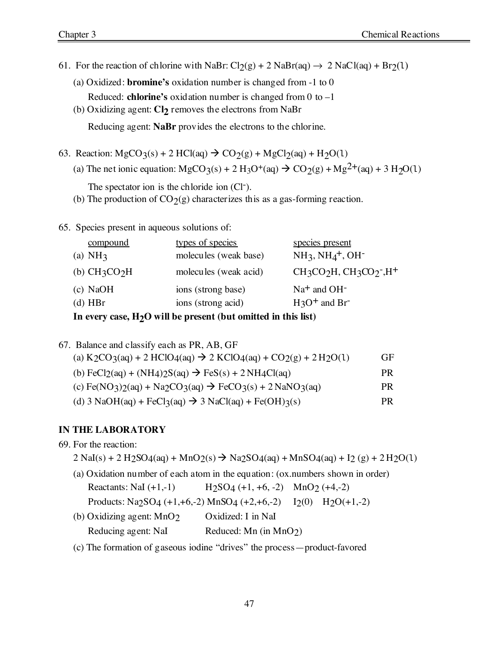- 61. For the reaction of chlorine with NaBr:  $Cl_2(g) + 2$  NaBr(aq)  $\rightarrow 2$  NaCl(aq) + Br<sub>2</sub>(1)
	- (a) Oxidized: **bromine's** oxidation number is changed from -1 to 0
	- Reduced: **chlorine's** oxidation number is changed from 0 to –1

(b) Oxidizing agent: **Cl2** removes the electrons from NaBr

Reducing agent: **NaBr** provides the electrons to the chlorine.

- 63. Reaction:  $MgCO<sub>3</sub>(s) + 2 HCl(aq) \rightarrow CO<sub>2</sub>(g) + MgCl<sub>2</sub>(aq) + H<sub>2</sub>O(1)$ 
	- (a) The net ionic equation:  $MgCO_3(s) + 2 H_3O^+(aq) \rightarrow CO_2(g) + Mg<sup>2+</sup>(aq) + 3 H_2O(1)$

The spectator ion is the chloride ion (Cl<sup>-</sup>).

(b) The production of  $CO_2(g)$  characterizes this as a gas-forming reaction.

65. Species present in aqueous solutions of:

| compound        | types of species      | species present                  |
|-----------------|-----------------------|----------------------------------|
| (a) $NH3$       | molecules (weak base) | $NH_3$ , $NH_4^+$ , $OH^-$       |
| (b) $CH_3CO_2H$ | molecules (weak acid) | $CH_3CO_2H$ , $CH_3CO_2$ , $H^+$ |
| $(c)$ NaOH      | ions (strong base)    | $Na+$ and $OH-$                  |
| $(d)$ HBr       | ions (strong acid)    | $H_3O^+$ and Br                  |
|                 |                       |                                  |

**In every case, H2O will be present (but omitted in this list)**

67. Balance and classify each as PR, AB, GF

| (a) $K_2CO_3(aq) + 2 HClO_4(aq) \rightarrow 2 KClO_4(aq) + CO_2(g) + 2 H_2O(1)$                                                                | GF. |
|------------------------------------------------------------------------------------------------------------------------------------------------|-----|
| (b) $\text{FeCl}_2(\text{aq}) + (\text{NH}_4) \cdot 2\text{S}(\text{aq}) \rightarrow \text{FeS}(\text{s}) + 2 \text{NH}_4\text{Cl}(\text{aq})$ | PR. |
| (c) $Fe(NO_3)2(aq) + Na2CO_3(aq) \rightarrow FeCO_3(s) + 2NaNO_3(aq)$                                                                          | PR. |
| (d) $3 \text{ NaOH}(aq) + \text{FeCl}_3(aq) \rightarrow 3 \text{ NaCl}(aq) + \text{Fe(OH)}_3(s)$                                               | PR  |

# **IN THE LABORATORY**

|  | 69. For the reaction: |  |
|--|-----------------------|--|
|--|-----------------------|--|

 $2 \text{ NaI}(s) + 2 \text{ H}_2\text{SO}_4(aq) + \text{MnO}_2(s) \rightarrow \text{Na}_2\text{SO}_4(aq) + \text{MnSO}_4(aq) + \text{I}_2(g) + 2 \text{ H}_2\text{O}(1)$ 

- (a) Oxidation number of each atom in the equation: (ox.numbers shown in order) Reactants: NaI  $(+1,-1)$  H<sub>2</sub>SO<sub>4</sub>  $(+1, +6, -2)$  MnO<sub>2</sub>  $(+4,-2)$ Products: Na2SO4  $(+1, +6, -2)$  MnSO4  $(+2, +6, -2)$  I2(0) H2O $(+1, -2)$ (b) Oxidizing agent: MnO2 Oxidized: I in NaI
- Reducing agent: NaI Reduced: Mn (in MnO2)
- (c) The formation of gaseous iodine "drives" the process—product-favored